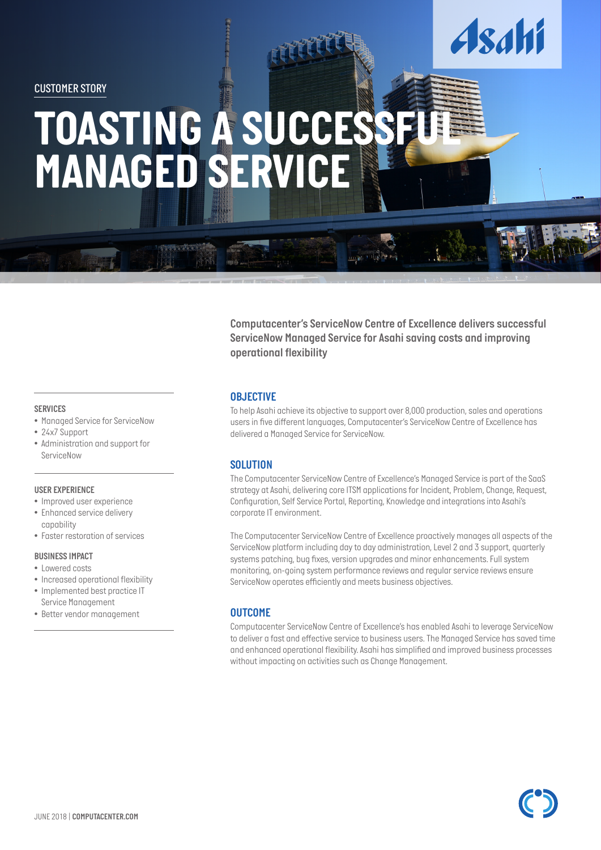*CUSTOMER STORY*

# **TOASTING A SUCCESSFULE** *MANAGED SERVICE*

*Computacenter's ServiceNow Centre of Excellence delivers successful ServiceNow Managed Service for Asahi saving costs and improving operational flexibility*

*CUSTOMER STORY*

## *SERVICES*

- *• Managed Service for ServiceNow*
- *• 24x7 Support*
- *• Administration and support for ServiceNow*

#### *USER EXPERIENCE*

- *• Improved user experience*
- *• Enhanced service delivery capability*
- *• Faster restoration of services*

#### *BUSINESS IMPACT*

- *• Lowered costs*
- *• Increased operational flexibility*
- *• Implemented best practice IT Service Management*
- *• Better vendor management*

#### *OBJECTIVE*

*To help Asahi achieve its objective to support over 8,000 production, sales and operations users in five different languages, Computacenter's ServiceNow Centre of Excellence has delivered a Managed Service for ServiceNow.*

### *SOLUTION*

*The Computacenter ServiceNow Centre of Excellence's Managed Service is part of the SaaS strategy at Asahi, delivering core ITSM applications for Incident, Problem, Change, Request, Configuration, Self Service Portal, Reporting, Knowledge and integrations into Asahi's corporate IT environment.* 

*The Computacenter ServiceNow Centre of Excellence proactively manages all aspects of the ServiceNow platform including day to day administration, Level 2 and 3 support, quarterly systems patching, bug fixes, version upgrades and minor enhancements. Full system monitoring, on-going system performance reviews and regular service reviews ensure ServiceNow operates efficiently and meets business objectives.*

### *OUTCOME*

*Computacenter ServiceNow Centre of Excellence's has enabled Asahi to leverage ServiceNow to deliver a fast and effective service to business users. The Managed Service has saved time and enhanced operational flexibility. Asahi has simplified and improved business processes without impacting on activities such as Change Management.*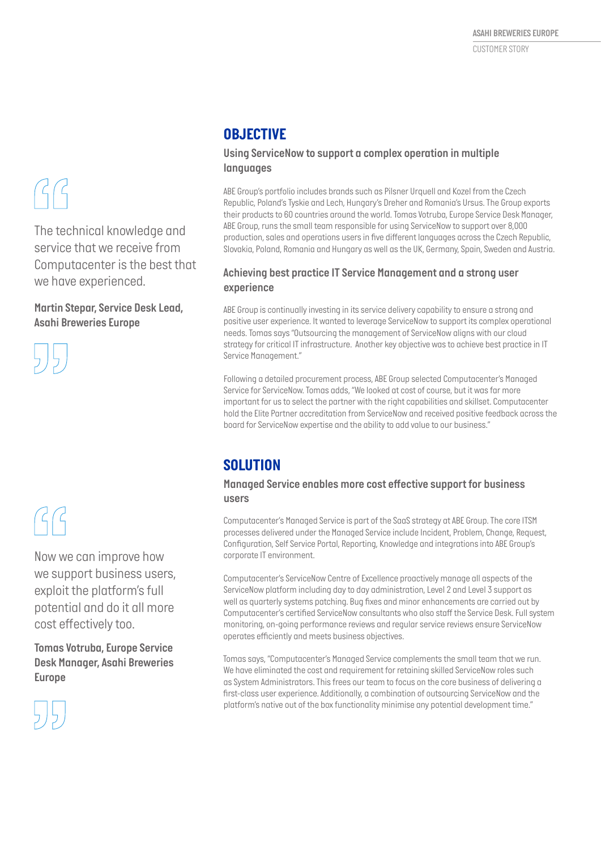# $G$

*The technical knowledge and service that we receive from Computacenter is the best that we have experienced.*

*Martin Stepar, Service Desk Lead, Asahi Breweries Europe*



# $\mathcal{G}$

*Now we can improve how we support business users, exploit the platform's full potential and do it all more cost effectively too.*

*Tomas Votruba, Europe Service Desk Manager, Asahi Breweries Europe*



# *OBJECTIVE*

## *Using ServiceNow to support a complex operation in multiple languages*

*ABE Group's portfolio includes brands such as Pilsner Urquell and Kozel from the Czech Republic, Poland's Tyskie and Lech, Hungary's Dreher and Romania's Ursus. The Group exports their products to 60 countries around the world. Tomas Votruba, Europe Service Desk Manager, ABE Group, runs the small team responsible for using ServiceNow to support over 8,000 production, sales and operations users in five different languages across the Czech Republic, Slovakia, Poland, Romania and Hungary as well as the UK, Germany, Spain, Sweden and Austria.*

## *Achieving best practice IT Service Management and a strong user experience*

*ABE Group is continually investing in its service delivery capability to ensure a strong and positive user experience. It wanted to leverage ServiceNow to support its complex operational needs. Tomas says "Outsourcing the management of ServiceNow aligns with our cloud strategy for critical IT infrastructure. Another key objective was to achieve best practice in IT Service Management."*

*Following a detailed procurement process, ABE Group selected Computacenter's Managed Service for ServiceNow. Tomas adds, "We looked at cost of course, but it was far more important for us to select the partner with the right capabilities and skillset. Computacenter hold the Elite Partner accreditation from ServiceNow and received positive feedback across the board for ServiceNow expertise and the ability to add value to our business."*

# *SOLUTION*

## *Managed Service enables more cost effective support for business users*

*Computacenter's Managed Service is part of the SaaS strategy at ABE Group. The core ITSM processes delivered under the Managed Service include Incident, Problem, Change, Request, Configuration, Self Service Portal, Reporting, Knowledge and integrations into ABE Group's corporate IT environment.* 

*Computacenter's ServiceNow Centre of Excellence proactively manage all aspects of the ServiceNow platform including day to day administration, Level 2 and Level 3 support as well as quarterly systems patching. Bug fixes and minor enhancements are carried out by Computacenter's certified ServiceNow consultants who also staff the Service Desk. Full system monitoring, on-going performance reviews and regular service reviews ensure ServiceNow operates efficiently and meets business objectives.*

*Tomas says, "Computacenter's Managed Service complements the small team that we run. We have eliminated the cost and requirement for retaining skilled ServiceNow roles such as System Administrators. This frees our team to focus on the core business of delivering a first-class user experience. Additionally, a combination of outsourcing ServiceNow and the platform's native out of the box functionality minimise any potential development time."*